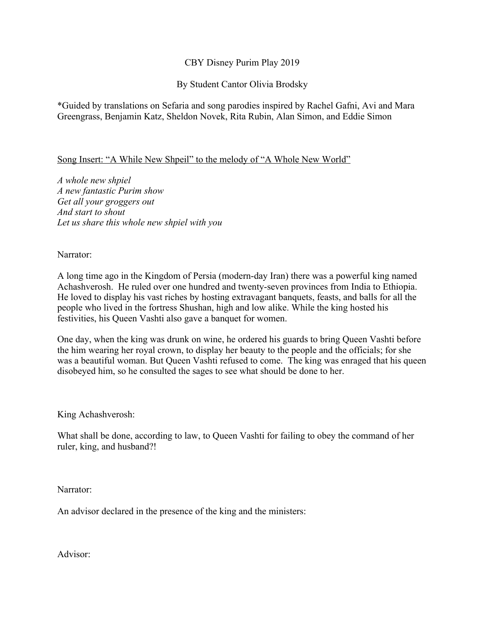## CBY Disney Purim Play 2019

By Student Cantor Olivia Brodsky

\*Guided by translations on Sefaria and song parodies inspired by Rachel Gafni, Avi and Mara Greengrass, Benjamin Katz, Sheldon Novek, Rita Rubin, Alan Simon, and Eddie Simon

### Song Insert: "A While New Shpeil" to the melody of "A Whole New World"

*A whole new shpiel A new fantastic Purim show Get all your groggers out And start to shout Let us share this whole new shpiel with you* 

Narrator:

A long time ago in the Kingdom of Persia (modern-day Iran) there was a powerful king named Achashverosh. He ruled over one hundred and twenty-seven provinces from India to Ethiopia. He loved to display his vast riches by hosting extravagant banquets, feasts, and balls for all the people who lived in the fortress Shushan, high and low alike. While the king hosted his festivities, his Queen Vashti also gave a banquet for women.

One day, when the king was drunk on wine, he ordered his guards to bring Queen Vashti before the him wearing her royal crown, to display her beauty to the people and the officials; for she was a beautiful woman. But Queen Vashti refused to come. The king was enraged that his queen disobeyed him, so he consulted the sages to see what should be done to her.

King Achashverosh:

What shall be done, according to law, to Queen Vashti for failing to obey the command of her ruler, king, and husband?!

Narrator:

An advisor declared in the presence of the king and the ministers:

Advisor: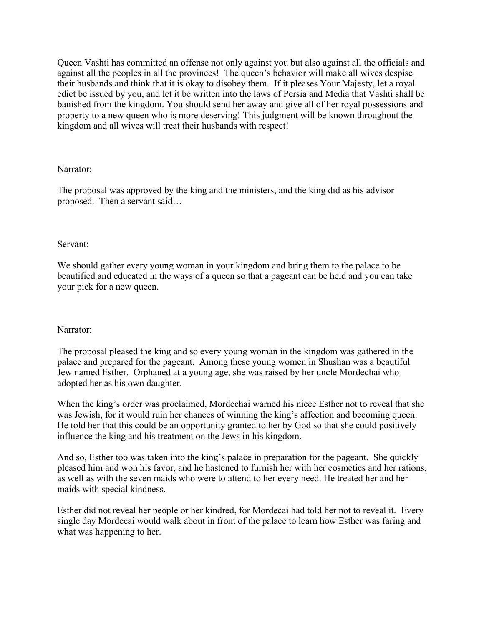Queen Vashti has committed an offense not only against you but also against all the officials and against all the peoples in all the provinces! The queen's behavior will make all wives despise their husbands and think that it is okay to disobey them. If it pleases Your Majesty, let a royal edict be issued by you, and let it be written into the laws of Persia and Media that Vashti shall be banished from the kingdom. You should send her away and give all of her royal possessions and property to a new queen who is more deserving! This judgment will be known throughout the kingdom and all wives will treat their husbands with respect!

### Narrator:

The proposal was approved by the king and the ministers, and the king did as his advisor proposed. Then a servant said…

### Servant:

We should gather every young woman in your kingdom and bring them to the palace to be beautified and educated in the ways of a queen so that a pageant can be held and you can take your pick for a new queen.

### Narrator:

The proposal pleased the king and so every young woman in the kingdom was gathered in the palace and prepared for the pageant. Among these young women in Shushan was a beautiful Jew named Esther. Orphaned at a young age, she was raised by her uncle Mordechai who adopted her as his own daughter.

When the king's order was proclaimed, Mordechai warned his niece Esther not to reveal that she was Jewish, for it would ruin her chances of winning the king's affection and becoming queen. He told her that this could be an opportunity granted to her by God so that she could positively influence the king and his treatment on the Jews in his kingdom.

And so, Esther too was taken into the king's palace in preparation for the pageant. She quickly pleased him and won his favor, and he hastened to furnish her with her cosmetics and her rations, as well as with the seven maids who were to attend to her every need. He treated her and her maids with special kindness.

Esther did not reveal her people or her kindred, for Mordecai had told her not to reveal it. Every single day Mordecai would walk about in front of the palace to learn how Esther was faring and what was happening to her.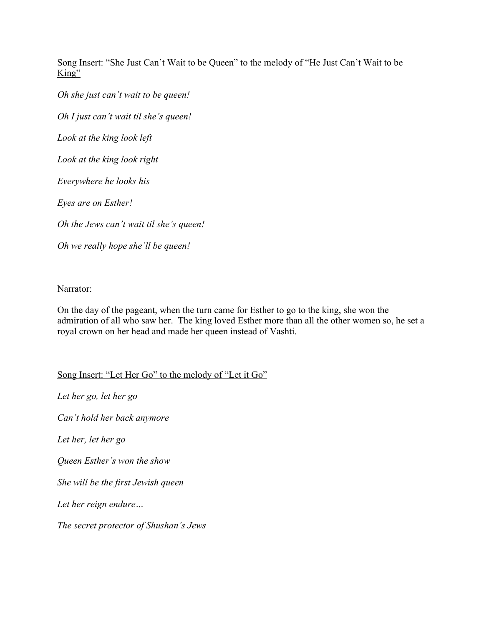# Song Insert: "She Just Can't Wait to be Queen" to the melody of "He Just Can't Wait to be  $King''$

*Oh she just can't wait to be queen! Oh I just can't wait til she's queen! Look at the king look left Look at the king look right Everywhere he looks his Eyes are on Esther! Oh the Jews can't wait til she's queen! Oh we really hope she'll be queen!*

Narrator:

On the day of the pageant, when the turn came for Esther to go to the king, she won the admiration of all who saw her. The king loved Esther more than all the other women so, he set a royal crown on her head and made her queen instead of Vashti.

Song Insert: "Let Her Go" to the melody of "Let it Go"

*Let her go, let her go Can't hold her back anymore Let her, let her go Queen Esther's won the show She will be the first Jewish queen Let her reign endure… The secret protector of Shushan's Jews*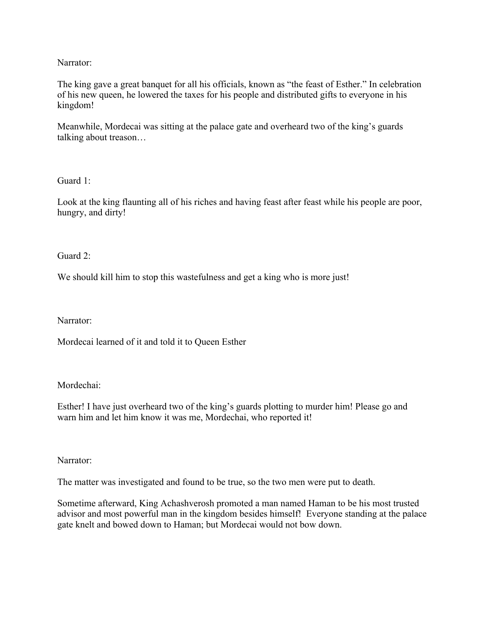## Narrator:

The king gave a great banquet for all his officials, known as "the feast of Esther." In celebration of his new queen, he lowered the taxes for his people and distributed gifts to everyone in his kingdom!

Meanwhile, Mordecai was sitting at the palace gate and overheard two of the king's guards talking about treason…

Guard 1:

Look at the king flaunting all of his riches and having feast after feast while his people are poor, hungry, and dirty!

Guard 2:

We should kill him to stop this wastefulness and get a king who is more just!

Narrator:

Mordecai learned of it and told it to Queen Esther

Mordechai:

Esther! I have just overheard two of the king's guards plotting to murder him! Please go and warn him and let him know it was me, Mordechai, who reported it!

Narrator:

The matter was investigated and found to be true, so the two men were put to death.

Sometime afterward, King Achashverosh promoted a man named Haman to be his most trusted advisor and most powerful man in the kingdom besides himself! Everyone standing at the palace gate knelt and bowed down to Haman; but Mordecai would not bow down.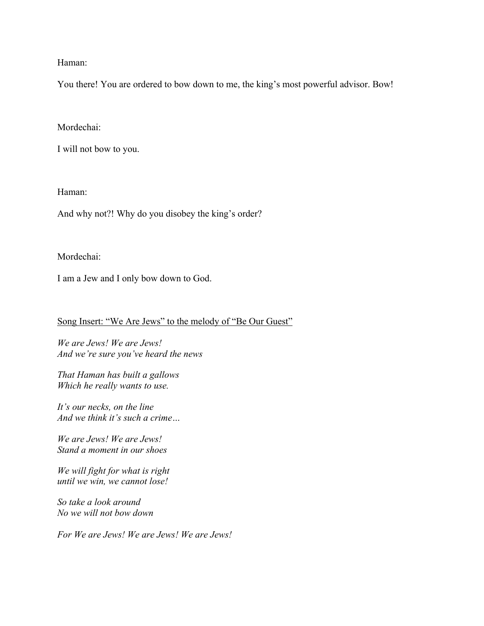Haman:

You there! You are ordered to bow down to me, the king's most powerful advisor. Bow!

Mordechai:

I will not bow to you.

Haman:

And why not?! Why do you disobey the king's order?

Mordechai:

I am a Jew and I only bow down to God.

Song Insert: "We Are Jews" to the melody of "Be Our Guest"

*We are Jews! We are Jews! And we're sure you've heard the news* 

*That Haman has built a gallows Which he really wants to use.*

*It's our necks, on the line And we think it's such a crime…*

*We are Jews! We are Jews! Stand a moment in our shoes*

*We will fight for what is right until we win, we cannot lose!*

*So take a look around No we will not bow down* 

*For We are Jews! We are Jews! We are Jews!*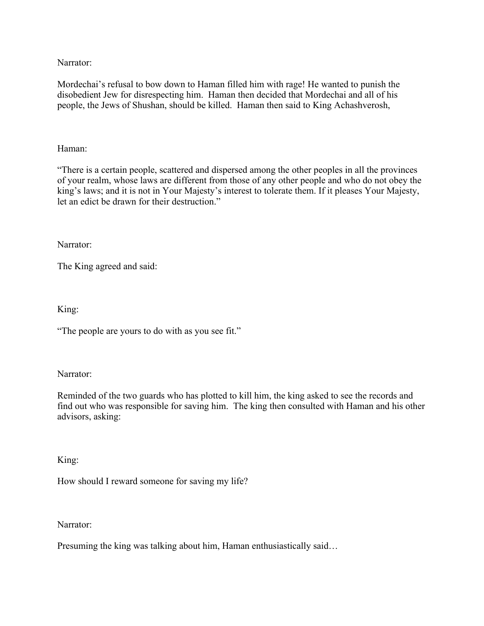Narrator:

Mordechai's refusal to bow down to Haman filled him with rage! He wanted to punish the disobedient Jew for disrespecting him. Haman then decided that Mordechai and all of his people, the Jews of Shushan, should be killed. Haman then said to King Achashverosh,

## Haman:

"There is a certain people, scattered and dispersed among the other peoples in all the provinces of your realm, whose laws are different from those of any other people and who do not obey the king's laws; and it is not in Your Majesty's interest to tolerate them. If it pleases Your Majesty, let an edict be drawn for their destruction."

Narrator:

The King agreed and said:

King:

"The people are yours to do with as you see fit."

Narrator:

Reminded of the two guards who has plotted to kill him, the king asked to see the records and find out who was responsible for saving him. The king then consulted with Haman and his other advisors, asking:

King:

How should I reward someone for saving my life?

Narrator:

Presuming the king was talking about him, Haman enthusiastically said…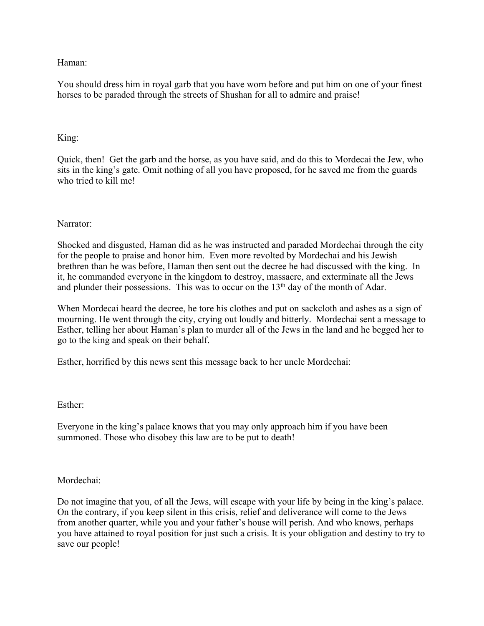Haman:

You should dress him in royal garb that you have worn before and put him on one of your finest horses to be paraded through the streets of Shushan for all to admire and praise!

## King:

Quick, then! Get the garb and the horse, as you have said, and do this to Mordecai the Jew, who sits in the king's gate. Omit nothing of all you have proposed, for he saved me from the guards who tried to kill me!

### Narrator:

Shocked and disgusted, Haman did as he was instructed and paraded Mordechai through the city for the people to praise and honor him. Even more revolted by Mordechai and his Jewish brethren than he was before, Haman then sent out the decree he had discussed with the king. In it, he commanded everyone in the kingdom to destroy, massacre, and exterminate all the Jews and plunder their possessions. This was to occur on the  $13<sup>th</sup>$  day of the month of Adar.

When Mordecai heard the decree, he tore his clothes and put on sackcloth and ashes as a sign of mourning. He went through the city, crying out loudly and bitterly. Mordechai sent a message to Esther, telling her about Haman's plan to murder all of the Jews in the land and he begged her to go to the king and speak on their behalf.

Esther, horrified by this news sent this message back to her uncle Mordechai:

### Esther:

Everyone in the king's palace knows that you may only approach him if you have been summoned. Those who disobey this law are to be put to death!

### Mordechai:

Do not imagine that you, of all the Jews, will escape with your life by being in the king's palace. On the contrary, if you keep silent in this crisis, relief and deliverance will come to the Jews from another quarter, while you and your father's house will perish. And who knows, perhaps you have attained to royal position for just such a crisis. It is your obligation and destiny to try to save our people!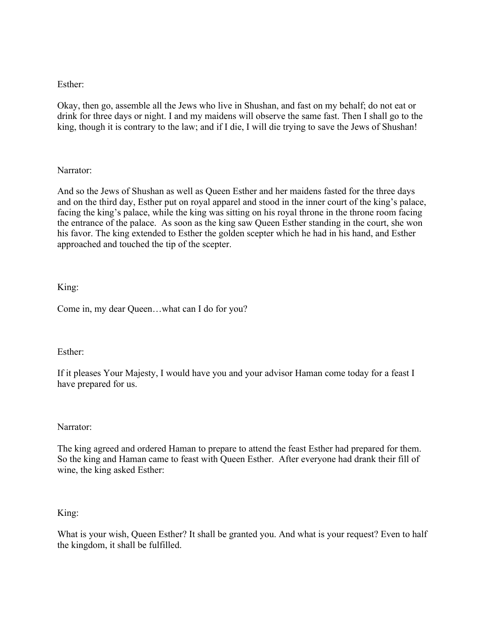## Esther:

Okay, then go, assemble all the Jews who live in Shushan, and fast on my behalf; do not eat or drink for three days or night. I and my maidens will observe the same fast. Then I shall go to the king, though it is contrary to the law; and if I die, I will die trying to save the Jews of Shushan!

## Narrator:

And so the Jews of Shushan as well as Queen Esther and her maidens fasted for the three days and on the third day, Esther put on royal apparel and stood in the inner court of the king's palace, facing the king's palace, while the king was sitting on his royal throne in the throne room facing the entrance of the palace. As soon as the king saw Queen Esther standing in the court, she won his favor. The king extended to Esther the golden scepter which he had in his hand, and Esther approached and touched the tip of the scepter.

## King:

Come in, my dear Queen…what can I do for you?

### Esther:

If it pleases Your Majesty, I would have you and your advisor Haman come today for a feast I have prepared for us.

### Narrator:

The king agreed and ordered Haman to prepare to attend the feast Esther had prepared for them. So the king and Haman came to feast with Queen Esther. After everyone had drank their fill of wine, the king asked Esther:

### King:

What is your wish, Queen Esther? It shall be granted you. And what is your request? Even to half the kingdom, it shall be fulfilled.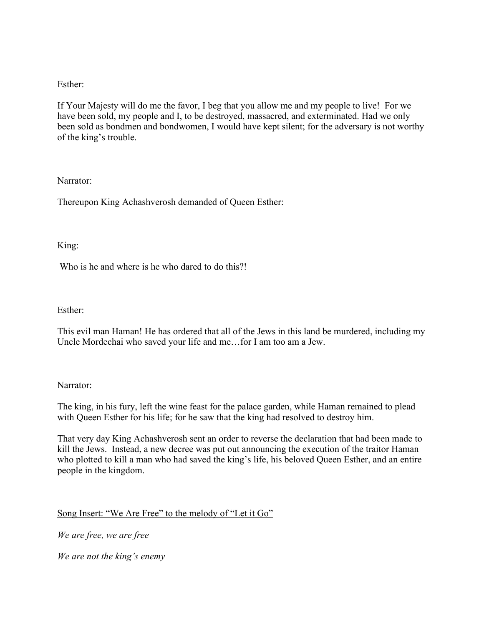## Esther:

If Your Majesty will do me the favor, I beg that you allow me and my people to live! For we have been sold, my people and I, to be destroyed, massacred, and exterminated. Had we only been sold as bondmen and bondwomen, I would have kept silent; for the adversary is not worthy of the king's trouble.

### Narrator:

Thereupon King Achashverosh demanded of Queen Esther:

### King:

Who is he and where is he who dared to do this?!

### Esther:

This evil man Haman! He has ordered that all of the Jews in this land be murdered, including my Uncle Mordechai who saved your life and me…for I am too am a Jew.

### Narrator:

The king, in his fury, left the wine feast for the palace garden, while Haman remained to plead with Queen Esther for his life; for he saw that the king had resolved to destroy him.

That very day King Achashverosh sent an order to reverse the declaration that had been made to kill the Jews. Instead, a new decree was put out announcing the execution of the traitor Haman who plotted to kill a man who had saved the king's life, his beloved Queen Esther, and an entire people in the kingdom.

# Song Insert: "We Are Free" to the melody of "Let it Go"

*We are free, we are free*

*We are not the king's enemy*